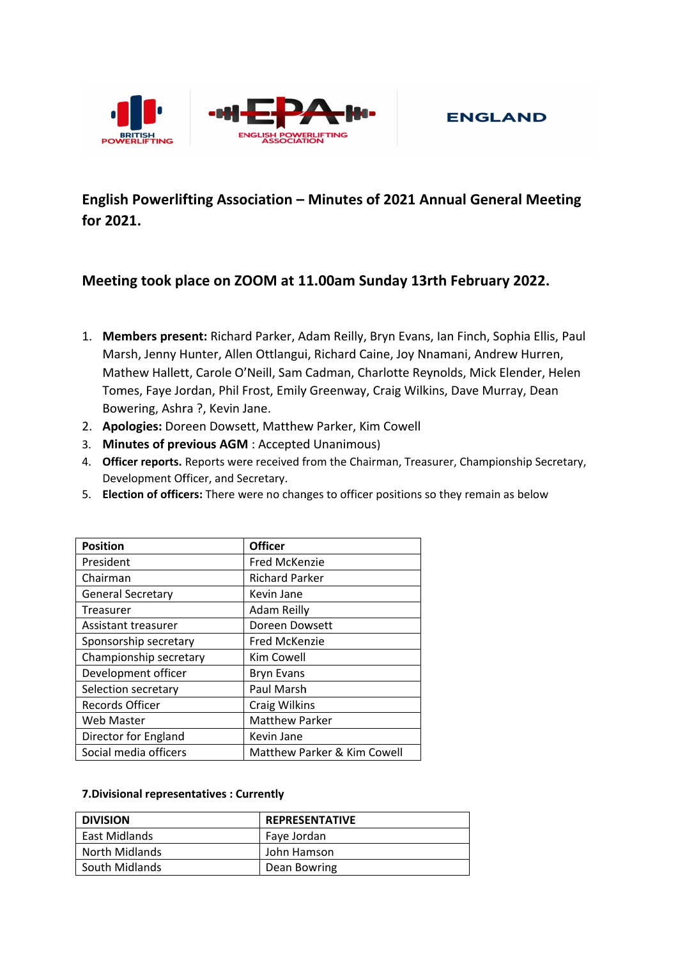



# English Powerlifting Association - Minutes of 2021 Annual General Meeting **for 2021.**

## **Meeting took place on ZOOM at 11.00am Sunday 13rth February 2022.**

- 1. Members present: Richard Parker, Adam Reilly, Bryn Evans, Ian Finch, Sophia Ellis, Paul Marsh, Jenny Hunter, Allen Ottlangui, Richard Caine, Joy Nnamani, Andrew Hurren, Mathew Hallett, Carole O'Neill, Sam Cadman, Charlotte Reynolds, Mick Elender, Helen Tomes, Faye Jordan, Phil Frost, Emily Greenway, Faye Jordan, Greenway, Bowering, Ashra ?, Kevin Jane. Jenny Hunter, Allen Ottlangui, Richard Caine, Joy Nnamani<br>v Hallett, Carole O'Neill, Sam Cadman, Charlotte Reynolds,<br>Faye Jordan, Phil Frost, Emily Greenway, Craig Wilkins, Dav<br>ng, Ashra ?, Kevin Jane. Craig Wilkins, Dave Murray, Dean
- 2. **Apologies:** Doreen Dowsett, Matthew Parker, Kim Cowell
- 3. **Minutes of previous AGM** : Accepted Unanimous )
- 4. **Officer reports.** Reports were received from the Chairman, Treasurer, Championship Secretary, Development Officer, and Secretary. Secretary. 4. **Officer reports.** Reports were received from the Chairman, Treasurer, Championship Se<br>Development Officer, and Secretary.<br>5. **Election of officers:** There were no changes to officer positions so they remain as below
- 

| English Powerlifting Association - Minutes of 2021 Annual General Meet<br>for 2021. |  |                                                                                                                                                                                                                                                                                                                                              |  |  |  |
|-------------------------------------------------------------------------------------|--|----------------------------------------------------------------------------------------------------------------------------------------------------------------------------------------------------------------------------------------------------------------------------------------------------------------------------------------------|--|--|--|
| Meeting took place on ZOOM at 11.00am Sunday 13rth February 2022.                   |  |                                                                                                                                                                                                                                                                                                                                              |  |  |  |
| 1.<br>Bowering, Ashra ?, Kevin Jane.                                                |  | Members present: Richard Parker, Adam Reilly, Bryn Evans, Ian Finch, Sophia Ellis,<br>Marsh, Jenny Hunter, Allen Ottlangui, Richard Caine, Joy Nnamani, Andrew Hurrer<br>Mathew Hallett, Carole O'Neill, Sam Cadman, Charlotte Reynolds, Mick Elender, H<br>Tomes, Faye Jordan, Phil Frost, Emily Greenway, Craig Wilkins, Dave Murray, Dean |  |  |  |
| 2.                                                                                  |  | Apologies: Doreen Dowsett, Matthew Parker, Kim Cowell                                                                                                                                                                                                                                                                                        |  |  |  |
| Minutes of previous AGM : Accepted Unanimous)<br>3.                                 |  |                                                                                                                                                                                                                                                                                                                                              |  |  |  |
| 4.                                                                                  |  | Officer reports. Reports were received from the Chairman, Treasurer, Championship Secr                                                                                                                                                                                                                                                       |  |  |  |
| Development Officer, and Secretary.                                                 |  |                                                                                                                                                                                                                                                                                                                                              |  |  |  |
| 5.                                                                                  |  | Election of officers: There were no changes to officer positions so they remain as below                                                                                                                                                                                                                                                     |  |  |  |
|                                                                                     |  |                                                                                                                                                                                                                                                                                                                                              |  |  |  |
|                                                                                     |  |                                                                                                                                                                                                                                                                                                                                              |  |  |  |
| <b>Position</b><br>President                                                        |  | <b>Officer</b><br>Fred McKenzie                                                                                                                                                                                                                                                                                                              |  |  |  |
| Chairman                                                                            |  | <b>Richard Parker</b>                                                                                                                                                                                                                                                                                                                        |  |  |  |
| <b>General Secretary</b>                                                            |  | Kevin Jane                                                                                                                                                                                                                                                                                                                                   |  |  |  |
| Treasurer                                                                           |  | <b>Adam Reilly</b>                                                                                                                                                                                                                                                                                                                           |  |  |  |
| Assistant treasurer                                                                 |  | Doreen Dowsett                                                                                                                                                                                                                                                                                                                               |  |  |  |
| Sponsorship secretary                                                               |  | Fred McKenzie                                                                                                                                                                                                                                                                                                                                |  |  |  |
| Championship secretary                                                              |  | Kim Cowell                                                                                                                                                                                                                                                                                                                                   |  |  |  |
| Development officer                                                                 |  | <b>Bryn Evans</b>                                                                                                                                                                                                                                                                                                                            |  |  |  |
| Selection secretary                                                                 |  | Paul Marsh                                                                                                                                                                                                                                                                                                                                   |  |  |  |
| <b>Records Officer</b>                                                              |  | Craig Wilkins                                                                                                                                                                                                                                                                                                                                |  |  |  |
| Web Master                                                                          |  | <b>Matthew Parker</b>                                                                                                                                                                                                                                                                                                                        |  |  |  |
| Director for England                                                                |  | Kevin Jane                                                                                                                                                                                                                                                                                                                                   |  |  |  |
| Social media officers                                                               |  | Matthew Parker & Kim Cowell                                                                                                                                                                                                                                                                                                                  |  |  |  |
| 7. Divisional representatives: Currently                                            |  |                                                                                                                                                                                                                                                                                                                                              |  |  |  |
| <b>DIVISION</b>                                                                     |  | <b>REPRESENTATIVE</b>                                                                                                                                                                                                                                                                                                                        |  |  |  |
| <b>East Midlands</b>                                                                |  | Faye Jordan                                                                                                                                                                                                                                                                                                                                  |  |  |  |
| North Midlands                                                                      |  | John Hamson                                                                                                                                                                                                                                                                                                                                  |  |  |  |
| South Midlands                                                                      |  | Dean Bowring                                                                                                                                                                                                                                                                                                                                 |  |  |  |

| 7. Divisional representatives: Currently |                       |  |  |
|------------------------------------------|-----------------------|--|--|
| <b>DIVISION</b>                          | <b>REPRESENTATIVE</b> |  |  |
| East Midlands                            | Faye Jordan           |  |  |
| <b>North Midlands</b>                    | John Hamson           |  |  |
| South Midlands                           | Dean Bowring          |  |  |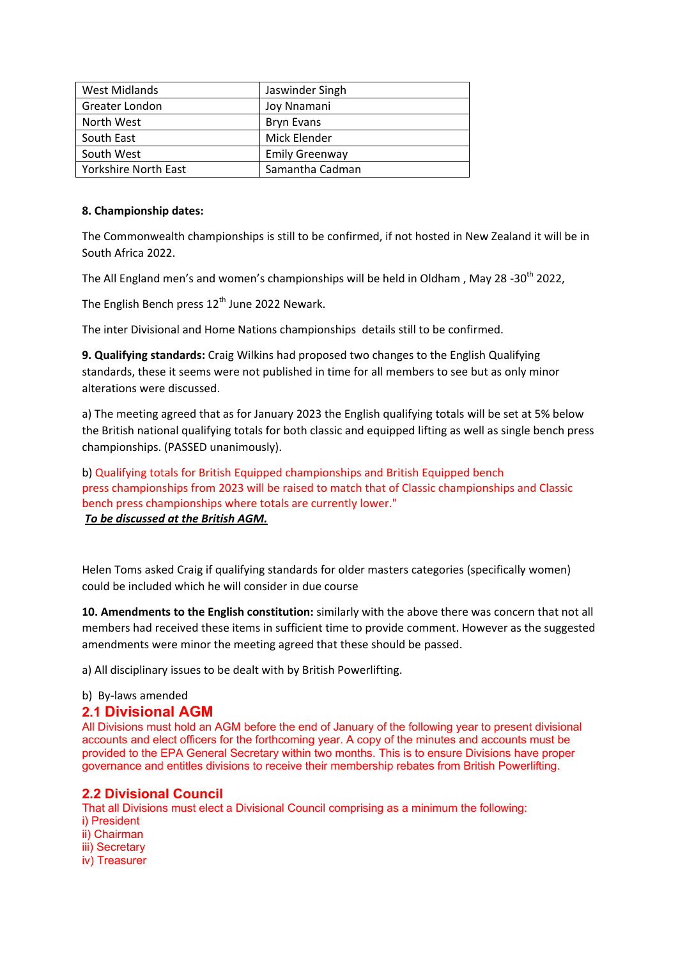| <b>West Midlands</b> | Jaswinder Singh       |
|----------------------|-----------------------|
| Greater London       | Joy Nnamani           |
| North West           | <b>Bryn Evans</b>     |
| South East           | Mick Elender          |
| South West           | <b>Emily Greenway</b> |
| Yorkshire North East | Samantha Cadman       |

### **8. Championship dates:**

The Commonwealth championships is still to be confirmed, if not hosted in New Zealand it will be in South Africa 2022.

The All England men's and women's championships will be held in Oldham , May 28 -30th 2022,

The English Bench press  $12<sup>th</sup>$  June 2022 Newark.

The inter Divisional and Home Nations championships details still to be confirmed.

**9. Qualifying standards:** Craig Wilkins had proposed two changes to the English Qualifying standards, these it seems were not published in time for all members to see but as only minor alterations were discussed.

a) The meeting agreed that as for January 2023 the English qualifying totals will be set at 5% below the British national qualifying totals for both classic and equipped lifting as well as single bench press championships. (PASSED unanimously).

b) Qualifying totals for British Equipped championships and British Equipped bench press championships from 2023 will be raised to match that of Classic championships and Classic bench press championships where totals are currently lower." *To be discussed at the British AGM.*

Helen Toms asked Craig if qualifying standards for older masters categories (specifically women) could be included which he will consider in due course

**10. Amendments to the English constitution:** similarly with the above there was concern that not all members had received these items in sufficient time to provide comment. However as the suggested amendments were minor the meeting agreed that these should be passed.

a) All disciplinary issues to be dealt with by British Powerlifting.

### b) By-laws amended

#### **2.1 Divisional AGM**

All Divisions must hold an AGM before the end of January of the following year to present divisional accounts and elect officers for the forthcoming year. A copy of the minutes and accounts must be provided to the EPA General Secretary within two months. This is to ensure Divisions have proper governance and entitles divisions to receive their membership rebates from British Powerlifting.

## **2.2 Divisional Council**

That all Divisions must elect a Divisional Council comprising as a minimum the following:

- i) President
- ii) Chairman
- iii) Secretary
- iv) Treasurer